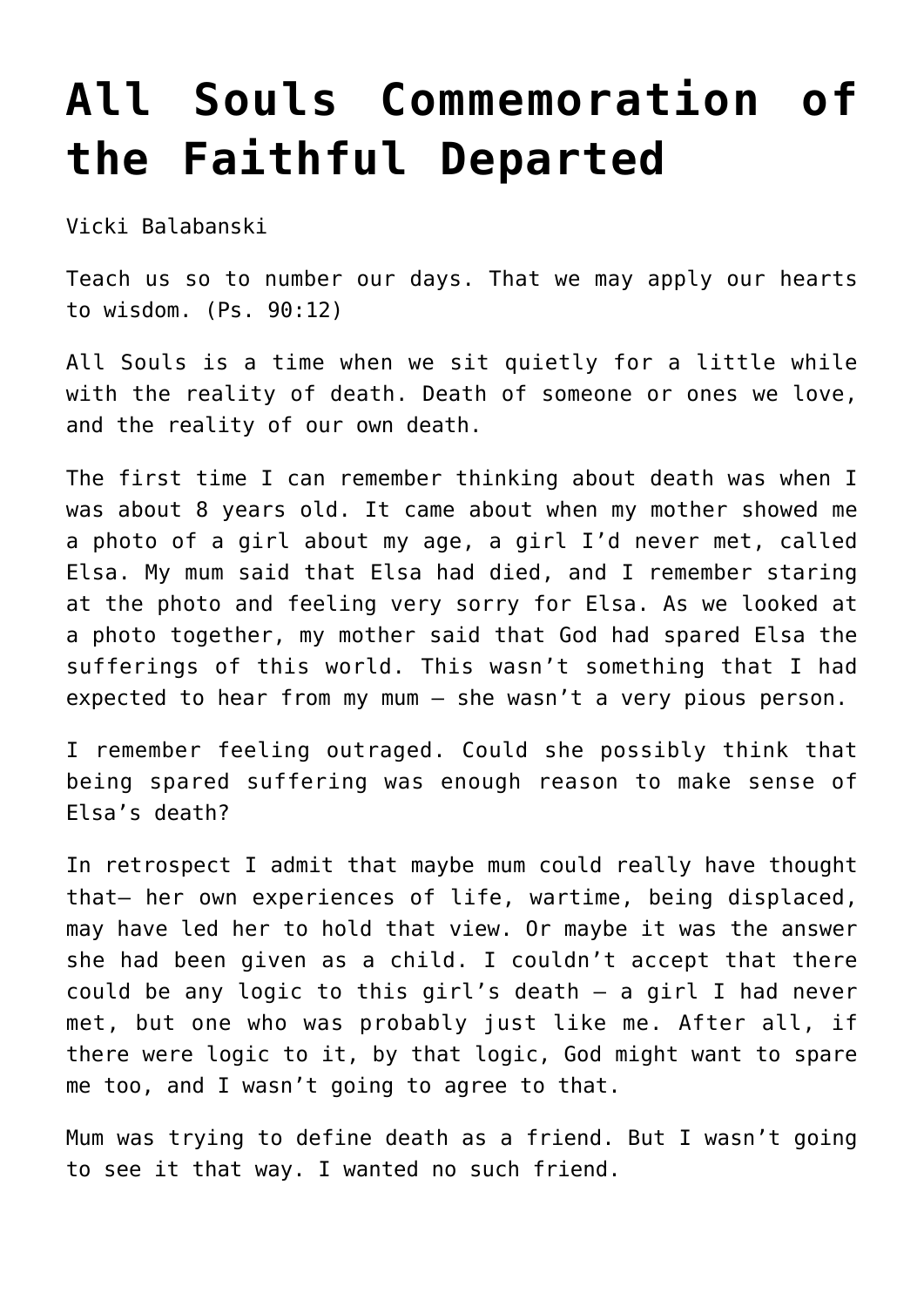## **[All Souls Commemoration of](http://stjohnsadelaide.org.au/all-souls-commemoration-of-the-faithful-departed/) [the Faithful Departed](http://stjohnsadelaide.org.au/all-souls-commemoration-of-the-faithful-departed/)**

Vicki Balabanski

Teach us so to number our days. That we may apply our hearts to wisdom. (Ps. 90:12)

All Souls is a time when we sit quietly for a little while with the reality of death. Death of someone or ones we love, and the reality of our own death.

The first time I can remember thinking about death was when I was about 8 years old. It came about when my mother showed me a photo of a girl about my age, a girl I'd never met, called Elsa. My mum said that Elsa had died, and I remember staring at the photo and feeling very sorry for Elsa. As we looked at a photo together, my mother said that God had spared Elsa the sufferings of this world. This wasn't something that I had expected to hear from my mum – she wasn't a very pious person.

I remember feeling outraged. Could she possibly think that being spared suffering was enough reason to make sense of Elsa's death?

In retrospect I admit that maybe mum could really have thought that– her own experiences of life, wartime, being displaced, may have led her to hold that view. Or maybe it was the answer she had been given as a child. I couldn't accept that there could be any logic to this girl's death – a girl I had never met, but one who was probably just like me. After all, if there were logic to it, by that logic, God might want to spare me too, and I wasn't going to agree to that.

Mum was trying to define death as a friend. But I wasn't going to see it that way. I wanted no such friend.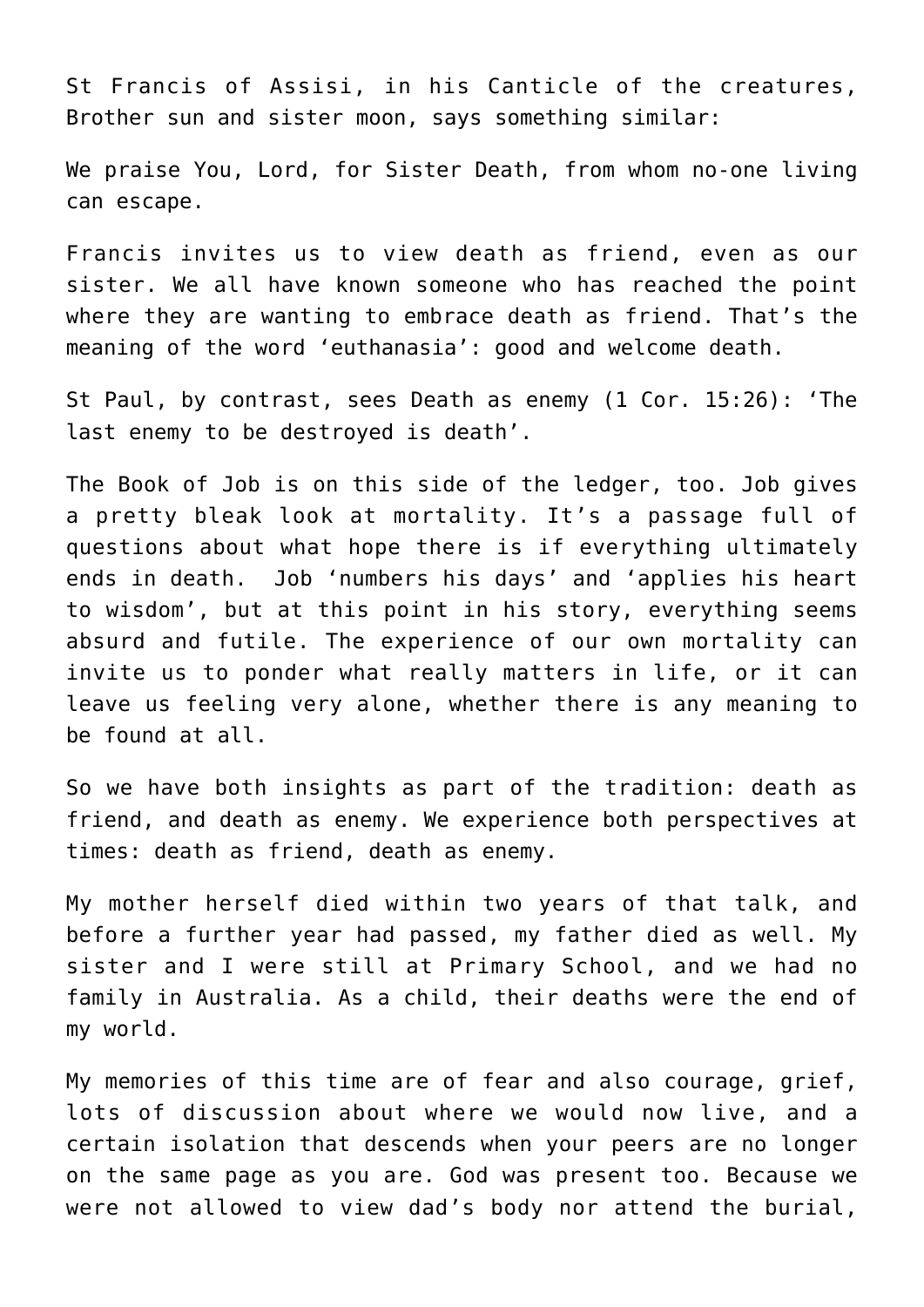St Francis of Assisi, in his Canticle of the creatures, Brother sun and sister moon, says something similar:

We praise You, Lord, for Sister Death, from whom no-one living can escape.

Francis invites us to view death as friend, even as our sister. We all have known someone who has reached the point where they are wanting to embrace death as friend. That's the meaning of the word 'euthanasia': good and welcome death.

St Paul, by contrast, sees Death as enemy (1 Cor. 15:26): 'The last enemy to be destroyed is death'.

The Book of Job is on this side of the ledger, too. Job gives a pretty bleak look at mortality. It's a passage full of questions about what hope there is if everything ultimately ends in death. Job 'numbers his days' and 'applies his heart to wisdom', but at this point in his story, everything seems absurd and futile. The experience of our own mortality can invite us to ponder what really matters in life, or it can leave us feeling very alone, whether there is any meaning to be found at all.

So we have both insights as part of the tradition: death as friend, and death as enemy. We experience both perspectives at times: death as friend, death as enemy.

My mother herself died within two years of that talk, and before a further year had passed, my father died as well. My sister and I were still at Primary School, and we had no family in Australia. As a child, their deaths were the end of my world.

My memories of this time are of fear and also courage, grief, lots of discussion about where we would now live, and a certain isolation that descends when your peers are no longer on the same page as you are. God was present too. Because we were not allowed to view dad's body nor attend the burial,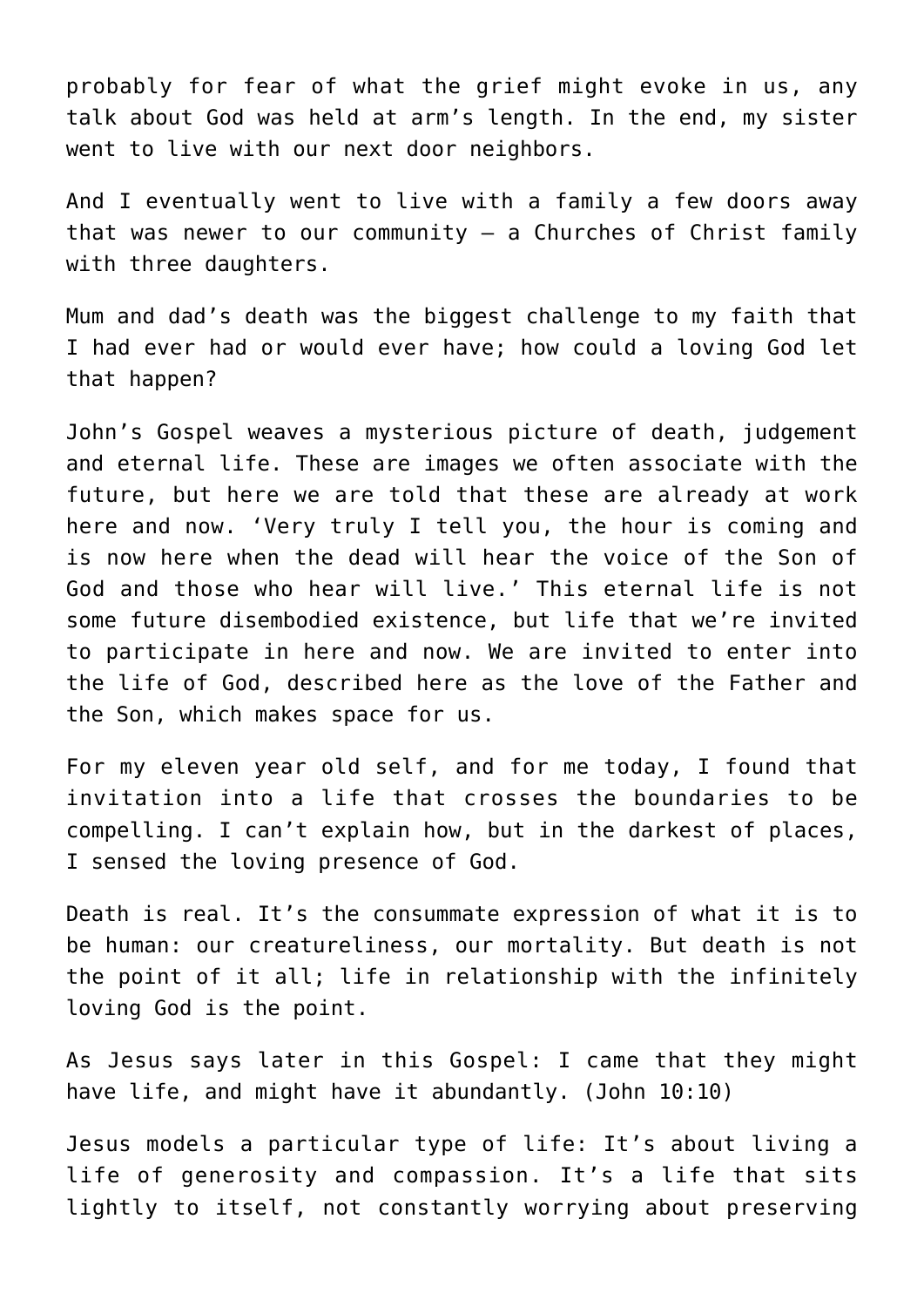probably for fear of what the grief might evoke in us, any talk about God was held at arm's length. In the end, my sister went to live with our next door neighbors.

And I eventually went to live with a family a few doors away that was newer to our community  $-$  a Churches of Christ family with three daughters.

Mum and dad's death was the biggest challenge to my faith that I had ever had or would ever have; how could a loving God let that happen?

John's Gospel weaves a mysterious picture of death, judgement and eternal life. These are images we often associate with the future, but here we are told that these are already at work here and now. 'Very truly I tell you, the hour is coming and is now here when the dead will hear the voice of the Son of God and those who hear will live.' This eternal life is not some future disembodied existence, but life that we're invited to participate in here and now. We are invited to enter into the life of God, described here as the love of the Father and the Son, which makes space for us.

For my eleven year old self, and for me today, I found that invitation into a life that crosses the boundaries to be compelling. I can't explain how, but in the darkest of places, I sensed the loving presence of God.

Death is real. It's the consummate expression of what it is to be human: our creatureliness, our mortality. But death is not the point of it all; life in relationship with the infinitely loving God is the point.

As Jesus says later in this Gospel: I came that they might have life, and might have it abundantly. (John 10:10)

Jesus models a particular type of life: It's about living a life of generosity and compassion. It's a life that sits lightly to itself, not constantly worrying about preserving